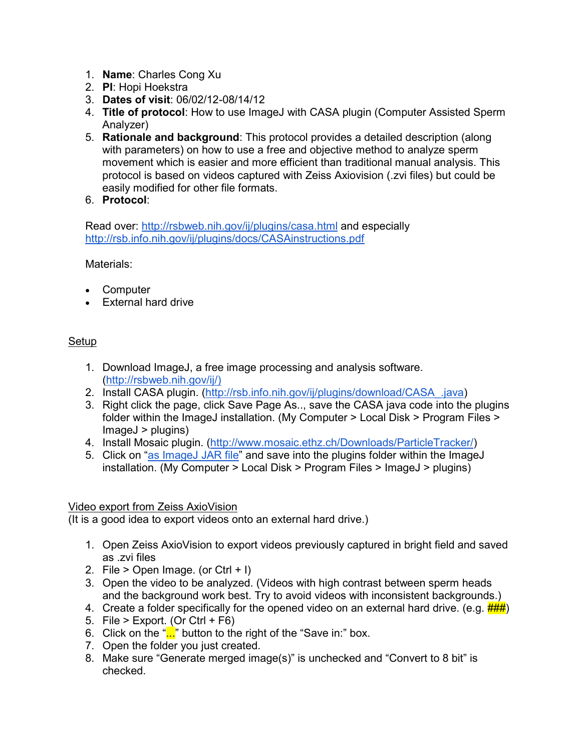- 1. **Name**: Charles Cong Xu
- 2. **PI**: Hopi Hoekstra
- 3. **Dates of visit**: 06/02/12-08/14/12
- 4. **Title of protocol**: How to use ImageJ with CASA plugin (Computer Assisted Sperm Analyzer)
- 5. **Rationale and background**: This protocol provides a detailed description (along with parameters) on how to use a free and objective method to analyze sperm movement which is easier and more efficient than traditional manual analysis. This protocol is based on videos captured with Zeiss Axiovision (.zvi files) but could be easily modified for other file formats.
- 6. **Protocol**:

Read over:<http://rsbweb.nih.gov/ij/plugins/casa.html> and especially <http://rsb.info.nih.gov/ij/plugins/docs/CASAinstructions.pdf>

Materials:

- Computer
- External hard drive

## Setup

- 1. Download ImageJ, a free image processing and analysis software. [\(http://rsbweb.nih.gov/ij/\)](http://rsbweb.nih.gov/ij/%29)
- 2. Install CASA plugin. [\(http://rsb.info.nih.gov/ij/plugins/download/CASA\\_.java\)](http://rsb.info.nih.gov/ij/plugins/download/CASA_.java)
- 3. Right click the page, click Save Page As.., save the CASA java code into the plugins folder within the ImageJ installation. (My Computer > Local Disk > Program Files > ImageJ > plugins)
- 4. Install Mosaic plugin. [\(http://www.mosaic.ethz.ch/Downloads/ParticleTracker/\)](http://www.mosaic.ethz.ch/Downloads/ParticleTracker/)
- 5. Click on ["as ImageJ JAR file"](http://www.mosaic.ethz.ch/Downloads/ParticleTracker/mosaic_plugins.jar) and save into the plugins folder within the ImageJ installation. (My Computer > Local Disk > Program Files > ImageJ > plugins)

## Video export from Zeiss AxioVision

(It is a good idea to export videos onto an external hard drive.)

- 1. Open Zeiss AxioVision to export videos previously captured in bright field and saved as .zvi files
- 2. File  $>$  Open Image. (or Ctrl  $+$  I)
- 3. Open the video to be analyzed. (Videos with high contrast between sperm heads and the background work best. Try to avoid videos with inconsistent backgrounds.)
- 4. Create a folder specifically for the opened video on an external hard drive. (e.g.  $\frac{H}{H}$ )
- 5. File  $>$  Export. (Or Ctrl + F6)
- 6. Click on the " $\ldots$ " button to the right of the "Save in:" box.
- 7. Open the folder you just created.
- 8. Make sure "Generate merged image(s)" is unchecked and "Convert to 8 bit" is checked.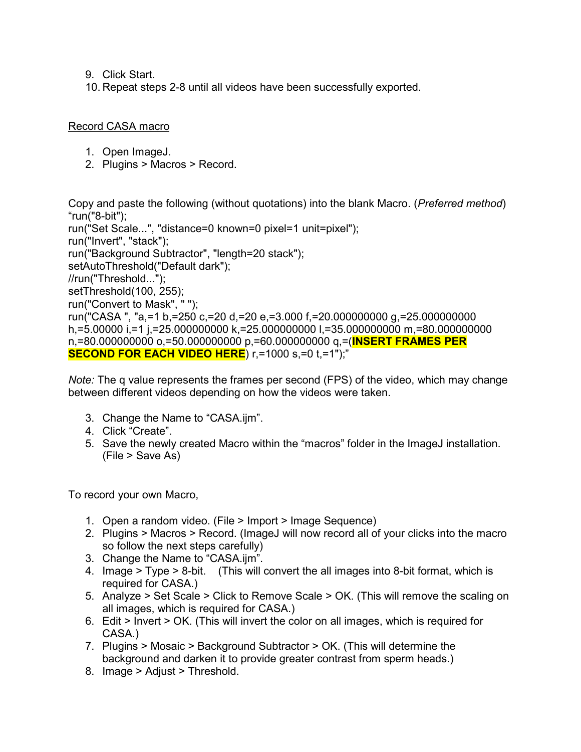- 9. Click Start.
- 10. Repeat steps 2-8 until all videos have been successfully exported.

## Record CASA macro

- 1. Open ImageJ.
- 2. Plugins > Macros > Record.

Copy and paste the following (without quotations) into the blank Macro. (*Preferred method*) "run("8-bit"); run("Set Scale...", "distance=0 known=0 pixel=1 unit=pixel"); run("Invert", "stack"); run("Background Subtractor", "length=20 stack"); setAutoThreshold("Default dark"); //run("Threshold..."); setThreshold(100, 255); run("Convert to Mask", " "); run("CASA ", "a,=1 b,=250 c,=20 d,=20 e,=3.000 f,=20.000000000 g,=25.000000000 h,=5.00000 i,=1 j,=25.000000000 k,=25.000000000 l,=35.000000000 m,=80.000000000 n,=80.000000000 o,=50.000000000 p,=60.000000000 q,=(**INSERT FRAMES PER SECOND FOR EACH VIDEO HERE**) r,=1000 s,=0 t,=1");"

*Note:* The q value represents the frames per second (FPS) of the video, which may change between different videos depending on how the videos were taken.

- 3. Change the Name to "CASA.ijm".
- 4. Click "Create".
- 5. Save the newly created Macro within the "macros" folder in the ImageJ installation. (File > Save As)

To record your own Macro,

- 1. Open a random video. (File > Import > Image Sequence)
- 2. Plugins > Macros > Record. (ImageJ will now record all of your clicks into the macro so follow the next steps carefully)
- 3. Change the Name to "CASA.ijm".
- 4. Image > Type > 8-bit. (This will convert the all images into 8-bit format, which is required for CASA.)
- 5. Analyze > Set Scale > Click to Remove Scale > OK. (This will remove the scaling on all images, which is required for CASA.)
- 6. Edit > Invert > OK. (This will invert the color on all images, which is required for CASA.)
- 7. Plugins > Mosaic > Background Subtractor > OK. (This will determine the background and darken it to provide greater contrast from sperm heads.)
- 8. Image > Adjust > Threshold.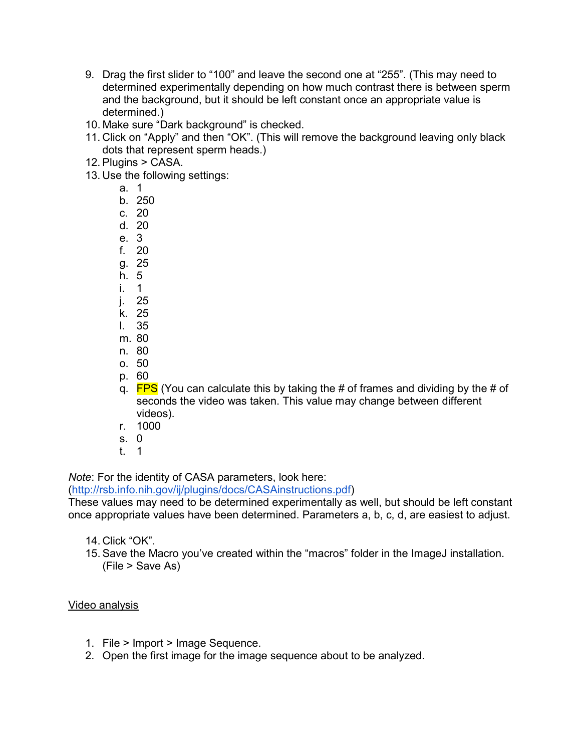- 9. Drag the first slider to "100" and leave the second one at "255". (This may need to determined experimentally depending on how much contrast there is between sperm and the background, but it should be left constant once an appropriate value is determined.)
- 10. Make sure "Dark background" is checked.
- 11. Click on "Apply" and then "OK". (This will remove the background leaving only black dots that represent sperm heads.)
- 12. Plugins > CASA.
- 13. Use the following settings:
	- a. 1
	- b. 250
	- c. 20
	- d. 20
	- e. 3
	- f. 20
	- g. 25 h. 5
	- i. 1
	- j. 25
	- k. 25
	- l. 35
	- m. 80
	- n. 80
	- o. 50
	- p. 60
	- q.  $FPS$  (You can calculate this by taking the # of frames and dividing by the # of seconds the video was taken. This value may change between different videos).
	- r. 1000
	- s. 0
	- t. 1

*Note*: For the identity of CASA parameters, look here:

[\(http://rsb.info.nih.gov/ij/plugins/docs/CASAinstructions.pdf\)](http://rsb.info.nih.gov/ij/plugins/docs/CASAinstructions.pdf)

These values may need to be determined experimentally as well, but should be left constant once appropriate values have been determined. Parameters a, b, c, d, are easiest to adjust.

- 14. Click "OK".
- 15. Save the Macro you've created within the "macros" folder in the ImageJ installation. (File > Save As)

## Video analysis

- 1. File > Import > Image Sequence.
- 2. Open the first image for the image sequence about to be analyzed.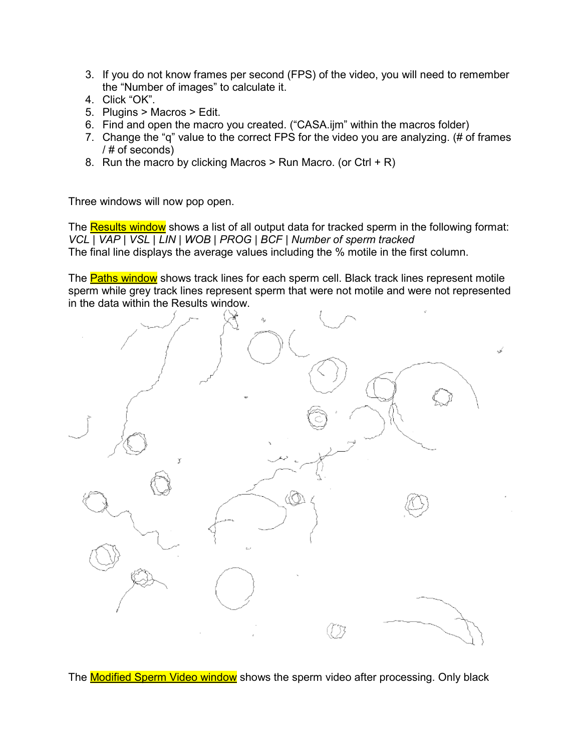- 3. If you do not know frames per second (FPS) of the video, you will need to remember the "Number of images" to calculate it.
- 4. Click "OK".
- 5. Plugins > Macros > Edit.
- 6. Find and open the macro you created. ("CASA.ijm" within the macros folder)
- 7. Change the "q" value to the correct FPS for the video you are analyzing. (# of frames / # of seconds)
- 8. Run the macro by clicking Macros  $>$  Run Macro. (or Ctrl + R)

Three windows will now pop open.

The Results window shows a list of all output data for tracked sperm in the following format: *VCL | VAP | VSL | LIN | WOB | PROG | BCF | Number of sperm tracked* The final line displays the average values including the % motile in the first column.

The Paths window shows track lines for each sperm cell. Black track lines represent motile sperm while grey track lines represent sperm that were not motile and were not represented in the data within the Results window.



The **Modified Sperm Video window** shows the sperm video after processing. Only black